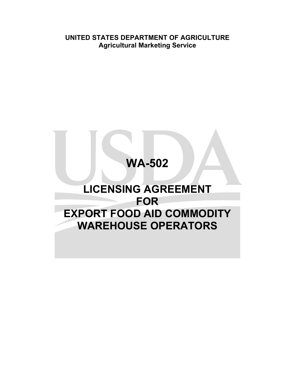**UNITED STATES DEPARTMENT OF AGRICULTURE Agricultural Marketing Service**

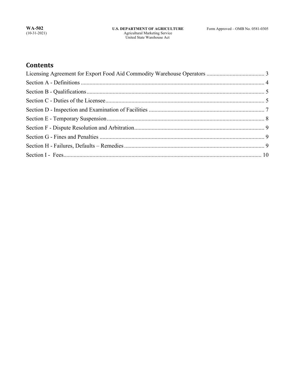# **Contents**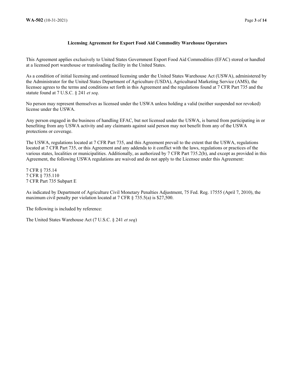### **Licensing Agreement for Export Food Aid Commodity Warehouse Operators**

This Agreement applies exclusively to United States Government Export Food Aid Commodities (EFAC) stored or handled at a licensed port warehouse or transloading facility in the United States.

As a condition of initial licensing and continued licensing under the United States Warehouse Act (USWA), administered by the Administrator for the United States Department of Agriculture (USDA), Agricultural Marketing Service (AMS), the licensee agrees to the terms and conditions set forth in this Agreement and the regulations found at 7 CFR Part 735 and the statute found at 7 U.S.C. § 241 *et seq*.

No person may represent themselves as licensed under the USWA unless holding a valid (neither suspended nor revoked) license under the USWA.

Any person engaged in the business of handling EFAC, but not licensed under the USWA, is barred from participating in or benefiting from any USWA activity and any claimants against said person may not benefit from any of the USWA protections or coverage.

The USWA, regulations located at 7 CFR Part 735, and this Agreement prevail to the extent that the USWA, regulations located at 7 CFR Part 735, or this Agreement and any addenda to it conflict with the laws, regulations or practices of the various states, localities or municipalities. Additionally, as authorized by 7 CFR Part 735.2(b), and except as provided in this Agreement, the following USWA regulations are waived and do not apply to the Licensee under this Agreement:

7 CFR § 735.14 7 CFR § 735.110 7 CFR Part 735 Subpart E

As indicated by Department of Agriculture Civil Monetary Penalties Adjustment, 75 Fed. Reg. 17555 (April 7, 2010), the maximum civil penalty per violation located at 7 CFR § 735.5(a) is \$27,500.

The following is included by reference:

The United States Warehouse Act (7 U.S.C. § 241 *et seq*)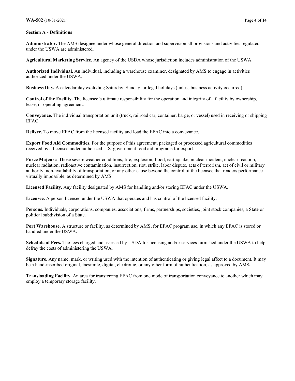#### **Section A - Definitions**

**Administrator.** The AMS designee under whose general direction and supervision all provisions and activities regulated under the USWA are administered.

**Agricultural Marketing Service.** An agency of the USDA whose jurisdiction includes administration of the USWA.

**Authorized Individual.** An individual, including a warehouse examiner, designated by AMS to engage in activities authorized under the USWA.

**Business Day.** A calendar day excluding Saturday, Sunday, or legal holidays (unless business activity occurred).

**Control of the Facility.** The licensee's ultimate responsibility for the operation and integrity of a facility by ownership, lease, or operating agreement.

**Conveyance.** The individual transportation unit (truck, railroad car, container, barge, or vessel) used in receiving or shipping EFAC.

**Deliver.** To move EFAC from the licensed facility and load the EFAC into a conveyance.

**Export Food Aid Commodities.** For the purpose of this agreement, packaged or processed agricultural commodities received by a licensee under authorized U.S. government food aid programs for export.

**Force Majeure***.* Those severe weather conditions, fire, explosion, flood, earthquake, nuclear incident, nuclear reaction, nuclear radiation, radioactive contamination, insurrection, riot, strike, labor dispute, acts of terrorism, act of civil or military authority, non-availability of transportation, or any other cause beyond the control of the licensee that renders performance virtually impossible, as determined by AMS.

**Licensed Facility.** Any facility designated by AMS for handling and/or storing EFAC under the USWA.

**Licensee.** A person licensed under the USWA that operates and has control of the licensed facility.

**Persons.** Individuals, corporations, companies, associations, firms, partnerships, societies, joint stock companies, a State or political subdivision of a State.

**Port Warehouse.** A structure or facility, as determined by AMS, for EFAC program use, in which any EFAC is stored or handled under the USWA.

**Schedule of Fees.** The fees charged and assessed by USDA for licensing and/or services furnished under the USWA to help defray the costs of administering the USWA.

**Signature.** Any name, mark, or writing used with the intention of authenticating or giving legal affect to a document. It may be a hand-inscribed original, facsimile, digital, electronic, or any other form of authentication, as approved by AMS**.** 

**Transloading Facility.** An area for transferring EFAC from one mode of transportation conveyance to another which may employ a temporary storage facility.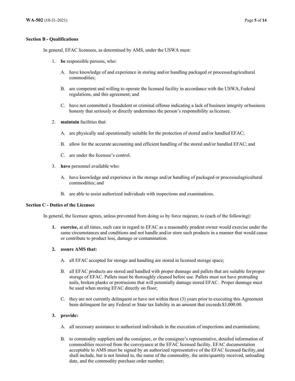#### **Section B - Qualifications**

In general, EFAC licensees, as determined by AMS, under the USWA must:

- 1. **be** responsible persons, who:
	- A. have knowledge of and experience in storing and/or handling packaged or processedagricultural commodities;
	- B. are competent and willing to operate the licensed facility in accordance with the USWA, Federal regulations, and this agreement; and
	- C. have not committed a fraudulent or criminal offense indicating a lack of business integrity or business honesty that seriously or directly undermines the person's responsibility aslicensee.
- 2. **maintain** facilities that:
	- A. are physically and operationally suitable for the protection of stored and/or handled EFAC;
	- B. allow for the accurate accounting and efficient handling of the stored and/or handled EFAC; and
	- C. are under the licensee's control.
- 3. **have** personnel available who:
	- A. have knowledge and experience in the storage and/or handling of packaged or processedagricultural commodities; and
	- B. are able to assist authorized individuals with inspections and examinations.

### **Section C - Duties of the Licensee**

In general, the licensee agrees, unless prevented from doing so by force majeure, to (each of the following):

**1. exercise,** at all times, such care in regard to EFAC as a reasonably prudent owner would exercise under the same circumstances and conditions and not handle and/or store such products in a manner that would cause or contribute to product loss, damage or contamination.

### **2. assure AMS that:**

- A. all EFAC accepted for storage and handling are stored in licensed storage space;
- B. all EFAC products are stored and handled with proper dunnage and pallets that are suitable forproper storage of EFAC. Pallets must be thoroughly cleaned before use. Pallets must not have protruding nails, broken planks or protrusions that will potentially damage stored EFAC. Proper dunnage must be used when storing EFAC directly on floor;
- C. they are not currently delinquent or have not within three (3) years prior to executing this Agreement been delinquent for any Federal or State tax liability in an amount that exceeds \$3,000.00.

#### **3. provide:**

- A. all necessary assistance to authorized individuals in the execution of inspections and examinations;
- B. to commodity suppliers and the consignee, or the consignee's representative, detailed information of commodities received from the conveyance at the EFAC licensed facility. EFAC documentation acceptable to AMS must be signed by an authorized representative of the EFAC licensed facility,and shall include, but is not limited to, the name of the commodity, the units/quantity received, unloading date, and the commodity purchase order number;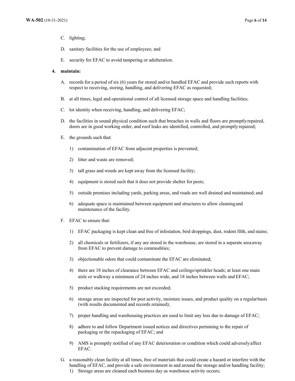- C. lighting;
- D. sanitary facilities for the use of employees; and
- E. security for EFAC to avoid tampering or adulteration.

#### **4. maintain:**

- A. records for a period of six (6) years for stored and/or handled EFAC and provide such reports with respect to receiving, storing, handling, and delivering EFAC as requested;
- B. at all times, legal and operational control of all licensed storage space and handling facilities;
- C. lot identity when receiving, handling, and delivering EFAC;
- D. the facilities in sound physical condition such that breaches in walls and floors are promptlyrepaired, doors are in good working order, and roof leaks are identified, controlled, and promptly repaired;
- E. the grounds such that:
	- 1) contamination of EFAC from adjacent properties is prevented;
	- 2) litter and waste are removed;
	- 3) tall grass and weeds are kept away from the licensed facility;
	- 4) equipment is stored such that it does not provide shelter for pests;
	- 5) outside premises including yards, parking areas, and roads are well drained and maintained; and
	- 6) adequate space is maintained between equipment and structures to allow cleaningand maintenance of the facility.
- F. EFAC to ensure that:
	- 1) EFAC packaging is kept clean and free of infestation, bird droppings, dust, rodent filth, and stains;
	- 2) all chemicals or fertilizers, if any are stored in the warehouse, are stored in a separate area away from EFAC to prevent damage to commodities;
	- 3) objectionable odors that could contaminate the EFAC are eliminated;
	- 4) there are 18 inches of clearance between EFAC and ceilings/sprinkler heads; at least one main aisle or walkway a minimum of 24 inches wide, and 18 inches between walls and EFAC;
	- 5) product stacking requirements are not exceeded;
	- 6) storage areas are inspected for pest activity, moisture issues, and product quality on a regular basis (with results documented and records retained);
	- 7) proper handling and warehousing practices are used to limit any loss due to damage of EFAC;
	- 8) adhere to and follow Department issued notices and directives pertaining to the repair of packaging or the repackaging of EFAC; and
	- 9) AMS is promptly notified of any EFAC deterioration or condition which could adverselyaffect EFAC.
- G. a reasonably clean facility at all times, free of materials that could create a hazard or interfere with the handling of EFAC, and provide a safe environment in and around the storage and/or handling facility; 1) Storage areas are cleaned each business day as warehouse activity occurs;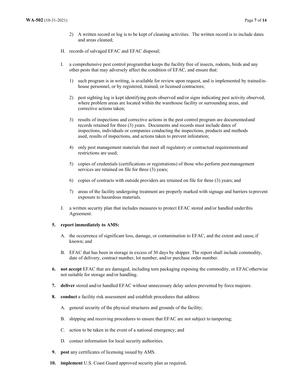- 2) A written record or log is to be kept of cleaning activities. The written record is to include dates and areas cleaned;
- H. records of salvaged EFAC and EFAC disposal;
- I. a comprehensive pest control programthat keeps the facility free of insects, rodents, birds and any other pests that may adversely affect the condition of EFAC, and ensure that:
	- 1) such program is in writing, is available for review upon request, and is implemented by trainedinhouse personnel, or by registered, trained, or licensed contractors;
	- 2) pest sighting log is kept identifying pests observed and/or signs indicating pest activity observed, where problem areas are located within the warehouse facility or surrounding areas, and corrective actions taken;
	- 3) results of inspections and corrective actions in the pest control program are documentedand records retained for three (3) years. Documents and records must include dates of inspections, individuals or companies conducting the inspections, products and methods used, results of inspections, and actions taken to prevent infestation;
	- 4) only pest management materials that meet all regulatory or contractual requirementsand restrictions are used;
	- 5) copies of credentials (certifications or registrations) of those who perform pestmanagement services are retained on file for three (3) years;
	- 6) copies of contracts with outside providers are retained on file for three (3) years; and
	- 7) areas of the facility undergoing treatment are properly marked with signage and barriers to prevent exposure to hazardous materials.
- J. a written security plan that includes measures to protect EFAC stored and/or handled underthis Agreement.

#### **5. report immediately to AMS:**

- A. the occurrence of significant loss, damage, or contamination to EFAC, and the extent and cause,if known; and
- B. EFAC that has been in storage in excess of 30 days by shipper. The report shall include commodity, date of delivery, contract number, lot number, and/or purchase order number.
- **6. not accept** EFAC that are damaged, including torn packaging exposing the commodity, or EFACotherwise not suitable for storage and/or handling.
- **7. deliver** stored and/or handled EFAC without unnecessary delay unless prevented by force majeure.
- **8. conduct** a facility risk assessment and establish procedures that address:
	- A. general security of the physical structures and grounds of the facility;
	- B. shipping and receiving procedures to ensure that EFAC are not subject to tampering;
	- C. action to be taken in the event of a national emergency; and
	- D. contact information for local security authorities.
- **9. post** any certificates of licensing issued by AMS.
- **10. implement** U.S. Coast Guard approved security plan as required**.**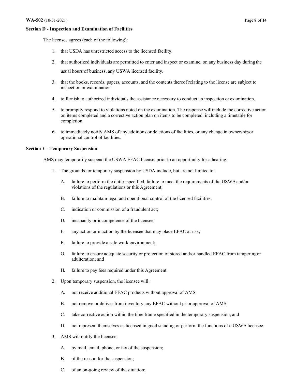#### **Section D - Inspection and Examination of Facilities**

The licensee agrees (each of the following):

- 1. that USDA has unrestricted access to the licensed facility.
- 2. that authorized individuals are permitted to enter and inspect or examine, on any business day during the

usual hours of business, any USWA licensed facility.

- 3. that the books, records, papers, accounts, and the contents thereof relating to the license are subject to inspection or examination.
- 4. to furnish to authorized individuals the assistance necessary to conduct an inspection or examination.
- 5. to promptly respond to violations noted on the examination. The response willinclude the corrective action on items completed and a corrective action plan on items to be completed, including a timetable for completion.
- 6. to immediately notify AMS of any additions or deletions of facilities, or any change in ownershipor operational control of facilities.

### **Section E - Temporary Suspension**

AMS may temporarily suspend the USWA EFAC license, prior to an opportunity for a hearing.

- 1. The grounds for temporary suspension by USDA include, but are not limited to:
	- A. failure to perform the duties specified, failure to meet the requirements of the USWAand/or violations of the regulations or this Agreement;
	- B. failure to maintain legal and operational control of the licensed facilities;
	- C. indication or commission of a fraudulent act;
	- D. incapacity or incompetence of the licensee;
	- E. any action or inaction by the licensee that may place EFAC at risk;
	- F. failure to provide a safe work environment;
	- G. failure to ensure adequate security or protection of stored and/or handled EFAC from tamperingor adulteration; and
	- H. failure to pay fees required under this Agreement.
- 2. Upon temporary suspension, the licensee will:
	- A. not receive additional EFAC products without approval of AMS;
	- B. not remove or deliver from inventory any EFAC without prior approval of AMS;
	- C. take corrective action within the time frame specified in the temporary suspension; and
	- D. not represent themselves as licensed in good standing or perform the functions of a USWA licensee.
- 3. AMS will notify the licensee:
	- A. by mail, email, phone, or fax of the suspension;
	- B. of the reason for the suspension;
	- C. of an on-going review of the situation;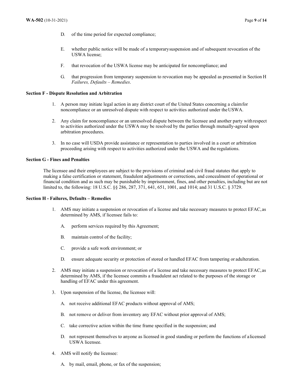- D. of the time period for expected compliance;
- E. whether public notice will be made of a temporarysuspension and of subsequent revocation of the USWA license;
- F. that revocation of the USWA license may be anticipated for noncompliance; and
- G. that progression from temporary suspension to revocation may be appealed as presented in Section H *Failures, Defaults – Remedies*.

#### **Section F - Dispute Resolution and Arbitration**

- 1. A person may initiate legal action in any district court of the United States concerning a claimfor noncompliance or an unresolved dispute with respect to activities authorized under theUSWA.
- 2. Any claim for noncompliance or an unresolved dispute between the licensee and another party withrespect to activities authorized under the USWA may be resolved by the parties through mutually-agreed upon arbitration procedures.
- 3. In no case will USDA provide assistance or representation to parties involved in a court or arbitration proceeding arising with respect to activities authorized under the USWA and the regulations.

#### **Section G - Fines and Penalties**

The licensee and their employees are subject to the provisions of criminal and civil fraud statutes that apply to making a false certification or statement, fraudulent adjustments or corrections, and concealment of operational or financial condition and as such may be punishable by imprisonment, fines, and other penalties, including but are not limited to, the following: 18 U.S.C. §§ 286, 287, 371, 641, 651, 1001, and 1014; and 31 U.S.C. § 3729.

#### **Section H - Failures, Defaults – Remedies**

- 1. AMS may initiate a suspension or revocation of a license and take necessary measures to protect EFAC,as determined by AMS, if licensee fails to:
	- A. perform services required by this Agreement;
	- B. maintain control of the facility;
	- C. provide a safe work environment; or
	- D. ensure adequate security or protection of stored or handled EFAC from tampering or adulteration.
- 2. AMS may initiate a suspension or revocation of a license and take necessary measures to protect EFAC,as determined by AMS, if the licensee commits a fraudulent act related to the purposes of the storage or handling of EFAC under this agreement.
- 3. Upon suspension of the license, the licensee will:
	- A. not receive additional EFAC products without approval of AMS;
	- B. not remove or deliver from inventory any EFAC without prior approval of AMS;
	- C. take corrective action within the time frame specified in the suspension; and
	- D. not represent themselves to anyone as licensed in good standing or perform the functions of alicensed USWA licensee.
- 4. AMS will notify the licensee:
	- A. by mail, email, phone, or fax of the suspension;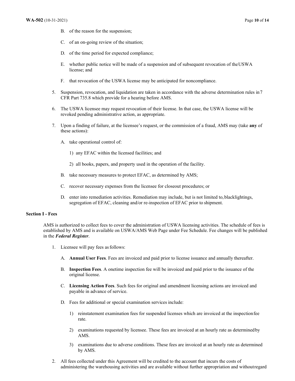- B. of the reason for the suspension;
- C. of an on-going review of the situation;
- D. of the time period for expected compliance;
- E. whether public notice will be made of a suspension and of subsequent revocation of theUSWA license; and
- F. that revocation of the USWA license may be anticipated for noncompliance.
- 5. Suspension, revocation, and liquidation are taken in accordance with the adverse determination rules in7 CFR Part 735.8 which provide for a hearing before AMS.
- 6. The USWA licensee may request revocation of their license. In that case, the USWA license will be revoked pending administrative action, as appropriate.
- 7. Upon a finding of failure, at the licensee's request, or the commission of a fraud, AMS may (take **any** of these actions):
	- A. take operational control of:
		- 1) any EFAC within the licensed facilities; and
		- 2) all books, papers, and property used in the operation of the facility.
	- B. take necessary measures to protect EFAC, as determined by AMS;
	- C. recover necessary expenses from the licensee for closeout procedures; or
	- D. enter into remediation activities. Remediation may include, but is not limited to,blacklightings, segregation of EFAC, cleaning and/or re-inspection of EFAC prior to shipment.

#### **Section I - Fees**

AMS is authorized to collect fees to cover the administration of USWA licensing activities. The schedule of fees is established by AMS and is available on USWA/AMS Web Page under Fee Schedule. Fee changes will be published in the *Federal Register*.

- 1. Licensee will pay fees asfollows:
	- A. **Annual User Fees**. Fees are invoiced and paid prior to license issuance and annually thereafter.
	- B. **Inspection Fees**. A onetime inspection fee will be invoiced and paid prior to the issuance of the original license.
	- C. **Licensing Action Fees**. Such fees for original and amendment licensing actions are invoiced and payable in advance of service.
	- D. Fees for additional or special examination services include:
		- 1) reinstatement examination fees for suspended licenses which are invoiced at the inspectionfee rate.
		- 2) examinations requested by licensee. These fees are invoiced at an hourly rate as determinedby AMS.
		- 3) examinations due to adverse conditions. These fees are invoiced at an hourly rate as determined by AMS.
- 2. All fees collected under this Agreement will be credited to the account that incurs the costs of administering the warehousing activities and are available without further appropriation and withoutregard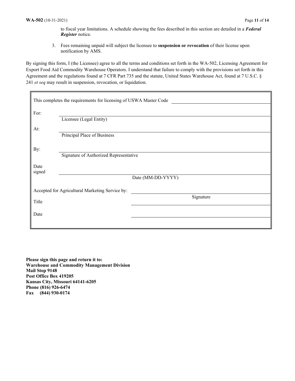to fiscal year limitations. A schedule showing the fees described in this section are detailed in a *Federal Register* notice.

3. Fees remaining unpaid will subject the licensee to **suspension or revocation** of their license upon notification by AMS.

By signing this form, I (the Licensee) agree to all the terms and conditions set forth in the WA-502, Licensing Agreement for Export Food Aid Commodity Warehouse Operators. I understand that failure to comply with the provisions set forth in this Agreement and the regulations found at 7 CFR Part 735 and the statute, United States Warehouse Act, found at 7 U.S.C. § 241 *et seq* may result in suspension, revocation, or liquidation.

| This completes the requirements for licensing of USWA Master Code |                                        |                   |  |
|-------------------------------------------------------------------|----------------------------------------|-------------------|--|
| For:                                                              |                                        |                   |  |
|                                                                   | Licensee (Legal Entity)                |                   |  |
| At:                                                               |                                        |                   |  |
|                                                                   | Principal Place of Business            |                   |  |
| By:                                                               |                                        |                   |  |
|                                                                   | Signature of Authorized Representative |                   |  |
| Date<br>signed                                                    |                                        |                   |  |
|                                                                   |                                        | Date (MM-DD-YYYY) |  |
| Accepted for Agricultural Marketing Service by:                   |                                        |                   |  |
| Title                                                             |                                        | Signature         |  |
|                                                                   |                                        |                   |  |
| Date                                                              |                                        |                   |  |
|                                                                   |                                        |                   |  |

**Please sign this page and return it to: Warehouse and Commodity Management Division Mail Stop 9148 Post Office Box 419205 Kansas City, Missouri 64141-6205 Phone (816) 926-6474 Fax (844) 930-0174**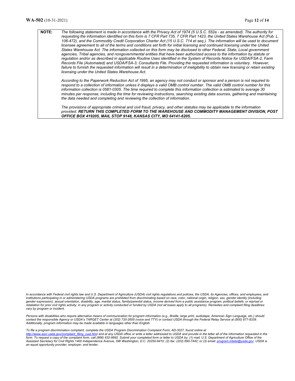#### **NOTE:** *The following statement is made in accordance with the Privacy Act of 1974 (5 U.S.C. 552a - as amended). The authority for requesting the information identified on this form is 7 CFR Part 735, 7 CFR Part 1423, the United States Warehouse Act (Pub. L. 106-472), and the Commodity Credit Corporation Charter Act (15 U.S.C. 714 et seq.). The information will be used to document licensee agreement to all of the terms and conditions set forth for initial licensing and continued licensing under the United States Warehouse Act. The information collected on this form may be disclosed to other Federal, State, Local government agencies, Tribal agencies, and nongovernmental entities that have been authorized access to the information by statute or regulation and/or as described in applicable Routine Uses identified in the System of Records Notice for USDA/FSA-2, Farm Records File (Automated) and USDA/FSA-3, Consultants File. Providing the requested information is voluntary. However,*  failure to furnish the requested information will result in a determination of ineligibility to obtain new licensing or retain existing *licensing under the United States Warehouse Act. According to the Paperwork Reduction Act of 1995, an agency may not conduct or sponsor and a person is not required to respond to a collection of information unless it displays a valid OMB control number. The valid OMB control number for this information collection is 0581-0305. The time required to complete this information collection is estimated to average 30*

*minutes per response, including the time for reviewing instructions, searching existing data sources, gathering and maintaining the data needed and completing and reviewing the collection of information.* 

*The provisions of appropriate criminal and civil fraud, privacy, and other statutes may be applicable to the information provided. RETURN THIS COMPLETED FORM TO THE WAREHOUSE AND COMMODITY MANAGEMENT DIVISION, POST OFFICE BOX 419205, MAIL STOP 9148, KANSAS CITY, MO 64141-6205.* 

In accordance with Federal civil rights law and U.S. Department of Agriculture (USDA) civil rights regulations and policies, the USDA, its Agencies, offices, and employees, and *institutions participating in or administering USDA programs are prohibited from discriminating based on race, color, national origin, religion, sex, gender identity (including gender expression), sexual orientation, disability, age, marital status, family/parental status, income derived from a public assistance program, political beliefs, or reprisal or*  retaliation for prior civil rights activity, in any program or activity conducted or funded by USDA (not all bases apply to all programs). Remedies and complaint filing deadlines *vary by program or incident.* 

*Persons with disabilities who require alternative means of communication for program information (e.g., Braille, large print, audiotape, American Sign Language, etc.) should contact the responsible Agency or USDA's TARGET Center at (202) 720-2600 (voice and TTY) or contact USDA through the Federal Relay Service at (800) 877-8339. Additionally, program information may be made available in languages other than English.*

*To file a program discrimination complaint, complete the USDA Program Discrimination Complaint Form, AD-3027, found online at* 

*ascr.usda.gov/complaint\_filing\_cust.html* and at any USDA office or write a letter addressed to USDA and provide in the letter all of the information requested in the *form. To request a copy of the complaint form, call (866) 632-9992. Submit your completed form or letter to USDA by: (1) mail: U.S. Department of Agriculture Office of the Assistant Secretary for Civil Rights 1400 Independence Avenue, SW Washington, D.C. 20250-9410; (2) fax: (202) 690-7442; or (3) email: program.intake@usda.gov. USDA is an equal opportunity provider, employer, and lender.*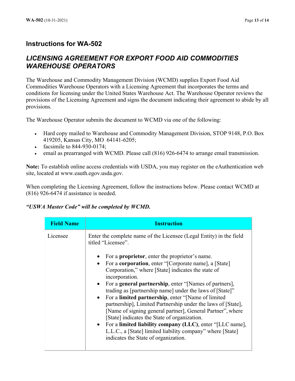## **Instructions for WA-502**

## *LICENSING AGREEMENT FOR EXPORT FOOD AID COMMODITIES WAREHOUSE OPERATORS*

The Warehouse and Commodity Management Division (WCMD) supplies Export Food Aid Commodities Warehouse Operators with a Licensing Agreement that incorporates the terms and conditions for licensing under the United States Warehouse Act. The Warehouse Operator reviews the provisions of the Licensing Agreement and signs the document indicating their agreement to abide by all provisions.

The Warehouse Operator submits the document to WCMD via one of the following:

- Hard copy mailed to Warehouse and Commodity Management Division, STOP 9148, P.O. Box 419205, Kansas City, MO 64141-6205;
- facsimile to 844-930-0174;
- email as prearranged with WCMD. Please call (816) 926-6474 to arrange email transmission.

**Note:** To establish online access credentials with USDA, you may register on the eAuthentication web site, located at www.eauth.egov.usda.gov.

When completing the Licensing Agreement, follow the instructions below. Please contact WCMD at (816) 926-6474 if assistance is needed.

## *"USWA Master Code" will be completed by WCMD.*

| <b>Field Name</b> | <b>Instruction</b>                                                                                                                                                                                                                                                                                                                                                                                                                                                                                                                                                                                                                                                                                                                                                                                                                                                 |
|-------------------|--------------------------------------------------------------------------------------------------------------------------------------------------------------------------------------------------------------------------------------------------------------------------------------------------------------------------------------------------------------------------------------------------------------------------------------------------------------------------------------------------------------------------------------------------------------------------------------------------------------------------------------------------------------------------------------------------------------------------------------------------------------------------------------------------------------------------------------------------------------------|
| Licensee          | Enter the complete name of the Licensee (Legal Entity) in the field<br>titled "Licensee".<br>For a <b>proprietor</b> , enter the proprietor's name.<br>$\bullet$<br>For a <b>corporation</b> , enter "[Corporate name], a [State]<br>$\bullet$<br>Corporation," where [State] indicates the state of<br>incorporation.<br>• For a <b>general partnership</b> , enter "[Names of partners],<br>trading as [partnership name] under the laws of [State]"<br>• For a limited partnership, enter "[Name of limited]<br>partnership], Limited Partnership under the laws of [State],<br>[Name of signing general partner], General Partner", where<br>[State] indicates the State of organization.<br>• For a limited liability company (LLC), enter "[LLC name],<br>L.L.C., a [State] limited liability company" where [State]<br>indicates the State of organization. |